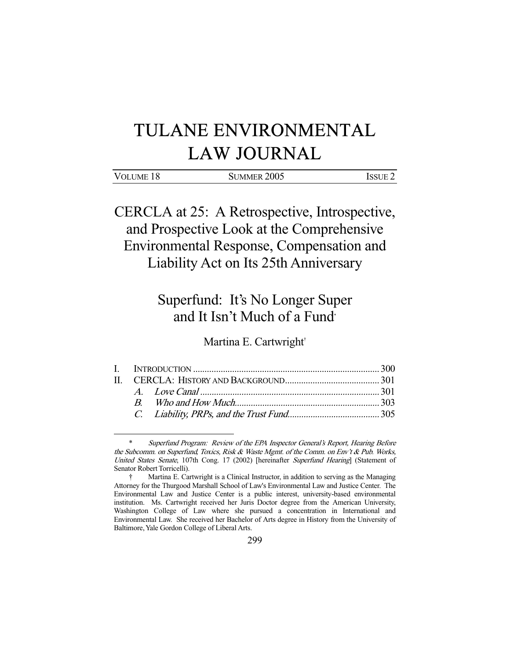# TULANE ENVIRONMENTAL LAW JOURNAL

CERCLA at 25: A Retrospective, Introspective, and Prospective Look at the Comprehensive Environmental Response, Compensation and Liability Act on Its 25th Anniversary

# Superfund: It's No Longer Super and It Isn't Much of a Fund\*

Martina E. Cartwright†

Superfund Program: Review of the EPA Inspector General's Report, Hearing Before the Subcomm. on Superfund, Toxics, Risk & Waste Mgmt. of the Comm. on Env't & Pub. Works, United States Senate, 107th Cong. 17 (2002) [hereinafter Superfund Hearing] (Statement of Senator Robert Torricelli).

 <sup>†</sup> Martina E. Cartwright is a Clinical Instructor, in addition to serving as the Managing Attorney for the Thurgood Marshall School of Law's Environmental Law and Justice Center. The Environmental Law and Justice Center is a public interest, university-based environmental institution. Ms. Cartwright received her Juris Doctor degree from the American University, Washington College of Law where she pursued a concentration in International and Environmental Law. She received her Bachelor of Arts degree in History from the University of Baltimore, Yale Gordon College of Liberal Arts.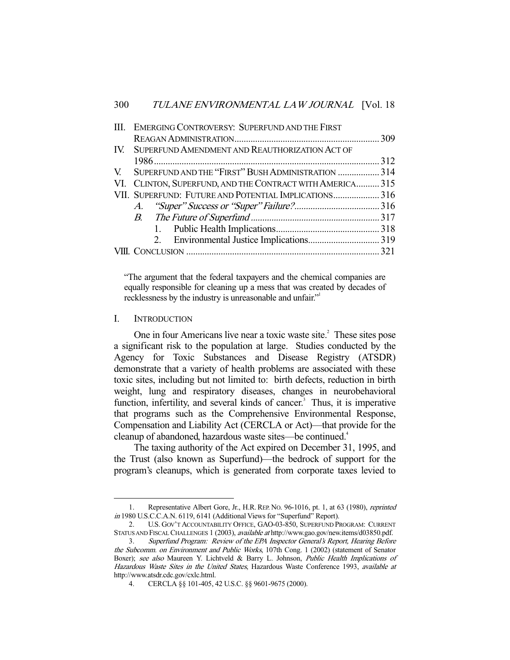| III. EMERGING CONTROVERSY: SUPERFUND AND THE FIRST        |  |
|-----------------------------------------------------------|--|
|                                                           |  |
| IV. SUPERFUND AMENDMENT AND REAUTHORIZATION ACT OF        |  |
|                                                           |  |
| V. SUPERFUND AND THE "FIRST" BUSH ADMINISTRATION  314     |  |
| VI. CLINTON, SUPERFUND, AND THE CONTRACT WITH AMERICA 315 |  |
| VII. SUPERFUND: FUTURE AND POTENTIAL IMPLICATIONS 316     |  |
|                                                           |  |
|                                                           |  |
|                                                           |  |
|                                                           |  |
|                                                           |  |
|                                                           |  |

"The argument that the federal taxpayers and the chemical companies are equally responsible for cleaning up a mess that was created by decades of recklessness by the industry is unreasonable and unfair."<sup>1</sup>

# I. INTRODUCTION

-

One in four Americans live near a toxic waste site.<sup>2</sup> These sites pose a significant risk to the population at large. Studies conducted by the Agency for Toxic Substances and Disease Registry (ATSDR) demonstrate that a variety of health problems are associated with these toxic sites, including but not limited to: birth defects, reduction in birth weight, lung and respiratory diseases, changes in neurobehavioral function, infertility, and several kinds of cancer. $3$  Thus, it is imperative that programs such as the Comprehensive Environmental Response, Compensation and Liability Act (CERCLA or Act)—that provide for the cleanup of abandoned, hazardous waste sites—be continued.<sup>4</sup>

 The taxing authority of the Act expired on December 31, 1995, and the Trust (also known as Superfund)—the bedrock of support for the program's cleanups, which is generated from corporate taxes levied to

<sup>1.</sup> Representative Albert Gore, Jr., H.R. REP. No. 96-1016, pt. 1, at 63 (1980), reprinted in 1980 U.S.C.C.A.N. 6119, 6141 (Additional Views for "Superfund" Report).

 <sup>2.</sup> U.S. GOV'T ACCOUNTABILITY OFFICE, GAO-03-850, SUPERFUND PROGRAM: CURRENT STATUS AND FISCAL CHALLENGES 1 (2003), available at http://www.gao.gov/new.items/d03850.pdf.

 <sup>3.</sup> Superfund Program: Review of the EPA Inspector General's Report, Hearing Before the Subcomm. on Environment and Public Works, 107th Cong. 1 (2002) (statement of Senator Boxer); see also Maureen Y. Lichtveld & Barry L. Johnson, Public Health Implications of Hazardous Waste Sites in the United States, Hazardous Waste Conference 1993, available at http://www.atsdr.cdc.gov/cxlc.html.

 <sup>4.</sup> CERCLA §§ 101-405, 42 U.S.C. §§ 9601-9675 (2000).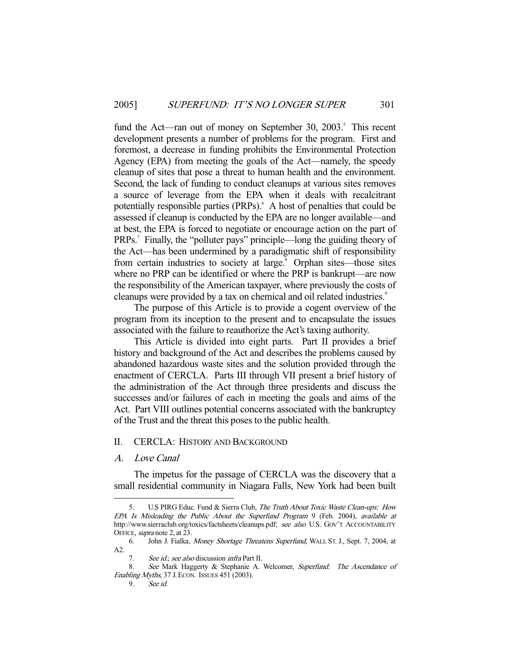fund the Act—ran out of money on September 30, 2003.<sup>5</sup> This recent development presents a number of problems for the program. First and foremost, a decrease in funding prohibits the Environmental Protection Agency (EPA) from meeting the goals of the Act—namely, the speedy cleanup of sites that pose a threat to human health and the environment. Second, the lack of funding to conduct cleanups at various sites removes a source of leverage from the EPA when it deals with recalcitrant potentially responsible parties (PRPs). A host of penalties that could be assessed if cleanup is conducted by the EPA are no longer available—and at best, the EPA is forced to negotiate or encourage action on the part of PRPs.<sup>7</sup> Finally, the "polluter pays" principle—long the guiding theory of the Act—has been undermined by a paradigmatic shift of responsibility from certain industries to society at large.<sup>8</sup> Orphan sites—those sites where no PRP can be identified or where the PRP is bankrupt—are now the responsibility of the American taxpayer, where previously the costs of cleanups were provided by a tax on chemical and oil related industries.<sup>9</sup>

 The purpose of this Article is to provide a cogent overview of the program from its inception to the present and to encapsulate the issues associated with the failure to reauthorize the Act's taxing authority.

 This Article is divided into eight parts. Part II provides a brief history and background of the Act and describes the problems caused by abandoned hazardous waste sites and the solution provided through the enactment of CERCLA. Parts III through VII present a brief history of the administration of the Act through three presidents and discuss the successes and/or failures of each in meeting the goals and aims of the Act. Part VIII outlines potential concerns associated with the bankruptcy of the Trust and the threat this poses to the public health.

# II. CERCLA: HISTORY AND BACKGROUND

# A. Love Canal

-

 The impetus for the passage of CERCLA was the discovery that a small residential community in Niagara Falls, New York had been built

U.S PIRG Educ. Fund & Sierra Club, The Truth About Toxic Waste Clean-ups: How EPA Is Misleading the Public About the Superfund Program 9 (Feb. 2004), available at http://www.sierraclub.org/toxics/factsheets/cleanups.pdf; see also U.S. GOV'T ACCOUNTABILITY OFFICE, supra note 2, at 23.

 <sup>6.</sup> John J. Fialka, Money Shortage Threatens Superfund, WALL ST. J., Sept. 7, 2004, at A2.

<sup>7.</sup> See id.; see also discussion infra Part II.

See Mark Haggerty & Stephanie A. Welcomer, Superfund: The Ascendance of Enabling Myths, 37 J. ECON. ISSUES 451 (2003).

 <sup>9.</sup> See id.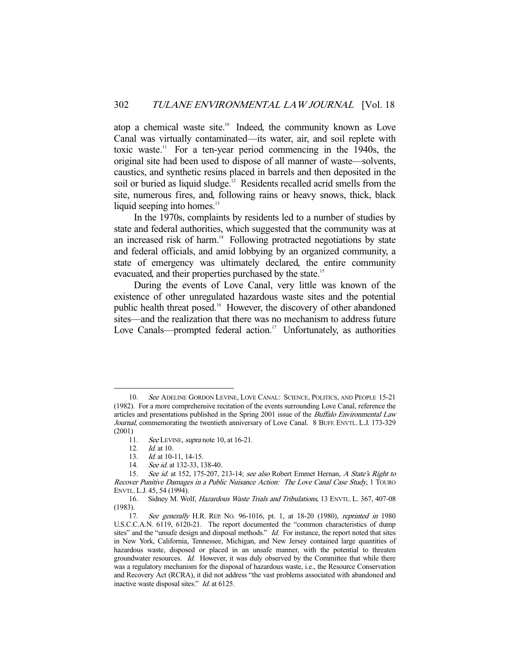atop a chemical waste site.<sup>10</sup> Indeed, the community known as Love Canal was virtually contaminated—its water, air, and soil replete with toxic waste.<sup>11</sup> For a ten-year period commencing in the 1940s, the original site had been used to dispose of all manner of waste—solvents, caustics, and synthetic resins placed in barrels and then deposited in the soil or buried as liquid sludge.<sup>12</sup> Residents recalled acrid smells from the site, numerous fires, and, following rains or heavy snows, thick, black liquid seeping into homes. $^{13}$ 

 In the 1970s, complaints by residents led to a number of studies by state and federal authorities, which suggested that the community was at an increased risk of harm.<sup>14</sup> Following protracted negotiations by state and federal officials, and amid lobbying by an organized community, a state of emergency was ultimately declared, the entire community evacuated, and their properties purchased by the state.<sup>15</sup>

 During the events of Love Canal, very little was known of the existence of other unregulated hazardous waste sites and the potential public health threat posed.<sup>16</sup> However, the discovery of other abandoned sites—and the realization that there was no mechanism to address future Love Canals—prompted federal action.<sup>17</sup> Unfortunately, as authorities

<sup>10.</sup> See ADELINE GORDON LEVINE, LOVE CANAL: SCIENCE, POLITICS, AND PEOPLE 15-21 (1982). For a more comprehensive recitation of the events surrounding Love Canal, reference the articles and presentations published in the Spring 2001 issue of the *Buffalo Environmental Law* Journal, commemorating the twentieth anniversary of Love Canal. 8 BUFF. ENVTL. L.J. 173-329 (2001)

<sup>11.</sup> See LEVINE, supra note 10, at 16-21.

 <sup>12.</sup> Id. at 10.

<sup>13.</sup> *Id.* at 10-11, 14-15.

<sup>14.</sup> See id. at 132-33, 138-40.<br>15. See id. at 152. 175-207.

See id. at 152, 175-207, 213-14; see also Robert Emmet Hernan, A State's Right to Recover Punitive Damages in a Public Nuisance Action: The Love Canal Case Study, 1 TOURO ENVTL. L.J. 45, 54 (1994).

 <sup>16.</sup> Sidney M. Wolf, Hazardous Waste Trials and Tribulations, 13 ENVTL. L. 367, 407-08 (1983).

<sup>17.</sup> See generally H.R. REP. No. 96-1016, pt. 1, at 18-20 (1980), reprinted in 1980 U.S.C.C.A.N. 6119, 6120-21. The report documented the "common characteristics of dump sites" and the "unsafe design and disposal methods." Id. For instance, the report noted that sites in New York, California, Tennessee, Michigan, and New Jersey contained large quantities of hazardous waste, disposed or placed in an unsafe manner, with the potential to threaten groundwater resources. Id. However, it was duly observed by the Committee that while there was a regulatory mechanism for the disposal of hazardous waste, i.e., the Resource Conservation and Recovery Act (RCRA), it did not address "the vast problems associated with abandoned and inactive waste disposal sites." *Id.* at 6125.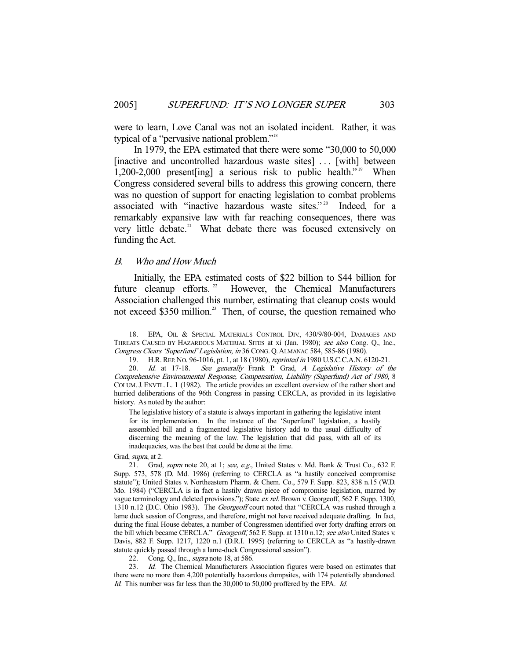were to learn, Love Canal was not an isolated incident. Rather, it was typical of a "pervasive national problem."18

 In 1979, the EPA estimated that there were some "30,000 to 50,000 [inactive and uncontrolled hazardous waste sites] ... [with] between 1,200-2,000 present[ing] a serious risk to public health." 19 When Congress considered several bills to address this growing concern, there was no question of support for enacting legislation to combat problems associated with "inactive hazardous waste sites."<sup>20</sup> Indeed, for a remarkably expansive law with far reaching consequences, there was very little debate.<sup>21</sup> What debate there was focused extensively on funding the Act.

# B. Who and How Much

 Initially, the EPA estimated costs of \$22 billion to \$44 billion for future cleanup efforts.<sup>22</sup> However, the Chemical Manufacturers Association challenged this number, estimating that cleanup costs would not exceed \$350 million.<sup>23</sup> Then, of course, the question remained who

The legislative history of a statute is always important in gathering the legislative intent for its implementation. In the instance of the 'Superfund' legislation, a hastily assembled bill and a fragmented legislative history add to the usual difficulty of discerning the meaning of the law. The legislation that did pass, with all of its inadequacies, was the best that could be done at the time.

Grad, supra, at 2.

 <sup>18.</sup> EPA, OIL & SPECIAL MATERIALS CONTROL DIV., 430/9/80-004, DAMAGES AND THREATS CAUSED BY HAZARDOUS MATERIAL SITES at xi (Jan. 1980); see also Cong. Q., Inc., Congress Clears 'Superfund' Legislation, in 36 CONG. Q.ALMANAC 584, 585-86 (1980).

 <sup>19.</sup> H.R.REP. NO. 96-1016, pt. 1, at 18 (1980), reprinted in 1980 U.S.C.C.A.N. 6120-21.

<sup>20.</sup> Id. at 17-18. See generally Frank P. Grad, A Legislative History of the Comprehensive Environmental Response, Compensation, Liability (Superfund) Act of 1980, 8 COLUM.J.ENVTL. L. 1 (1982). The article provides an excellent overview of the rather short and hurried deliberations of the 96th Congress in passing CERCLA, as provided in its legislative history. As noted by the author:

<sup>21.</sup> Grad, supra note 20, at 1; see, e.g., United States v. Md. Bank & Trust Co., 632 F. Supp. 573, 578 (D. Md. 1986) (referring to CERCLA as "a hastily conceived compromise statute"); United States v. Northeastern Pharm. & Chem. Co., 579 F. Supp. 823, 838 n.15 (W.D. Mo. 1984) ("CERCLA is in fact a hastily drawn piece of compromise legislation, marred by vague terminology and deleted provisions."); State ex rel. Brown v. Georgeoff, 562 F. Supp. 1300, 1310 n.12 (D.C. Ohio 1983). The Georgeoff court noted that "CERCLA was rushed through a lame duck session of Congress, and therefore, might not have received adequate drafting. In fact, during the final House debates, a number of Congressmen identified over forty drafting errors on the bill which became CERCLA." Georgeoff, 562 F. Supp. at 1310 n.12; see also United States v. Davis, 882 F. Supp. 1217, 1220 n.1 (D.R.I. 1995) (referring to CERCLA as "a hastily-drawn statute quickly passed through a lame-duck Congressional session").

<sup>22.</sup> Cong. Q., Inc., *supra* note 18, at 586.

<sup>23.</sup> *Id.* The Chemical Manufacturers Association figures were based on estimates that there were no more than 4,200 potentially hazardous dumpsites, with 174 potentially abandoned. Id. This number was far less than the 30,000 to 50,000 proffered by the EPA. Id.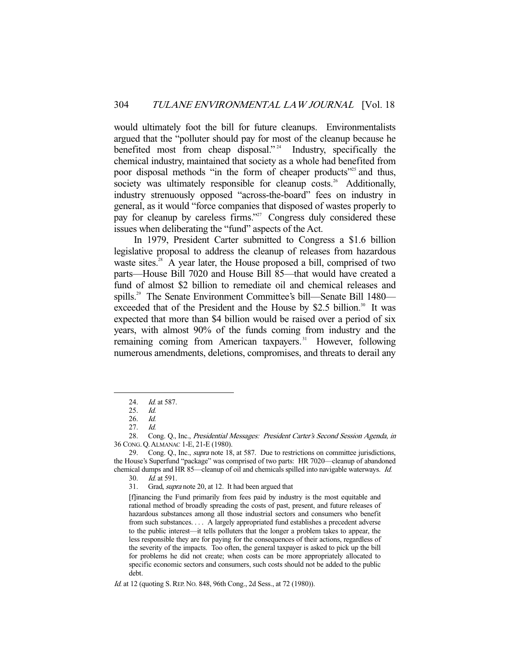would ultimately foot the bill for future cleanups. Environmentalists argued that the "polluter should pay for most of the cleanup because he benefited most from cheap disposal."<sup>24</sup> Industry, specifically the chemical industry, maintained that society as a whole had benefited from poor disposal methods "in the form of cheaper products"<sup>25</sup> and thus, society was ultimately responsible for cleanup costs.<sup>26</sup> Additionally, industry strenuously opposed "across-the-board" fees on industry in general, as it would "force companies that disposed of wastes properly to pay for cleanup by careless firms."<sup>27</sup> Congress duly considered these issues when deliberating the "fund" aspects of the Act.

 In 1979, President Carter submitted to Congress a \$1.6 billion legislative proposal to address the cleanup of releases from hazardous waste sites.<sup>28</sup> A year later, the House proposed a bill, comprised of two parts—House Bill 7020 and House Bill 85—that would have created a fund of almost \$2 billion to remediate oil and chemical releases and spills.<sup>29</sup> The Senate Environment Committee's bill—Senate Bill 1480 exceeded that of the President and the House by \$2.5 billion.<sup>30</sup> It was expected that more than \$4 billion would be raised over a period of six years, with almost 90% of the funds coming from industry and the remaining coming from American taxpayers.<sup>31</sup> However, following numerous amendments, deletions, compromises, and threats to derail any

<sup>24.</sup> *Id.* at 587.

<sup>25.</sup> *Id.*<br>26. *Id.* 

<sup>26.</sup> *Id.*<br>27. *Id.* 

 $27.$ 

<sup>28.</sup> Cong. Q., Inc., Presidential Messages: President Carter's Second Session Agenda, in 36 CONG. Q.ALMANAC 1-E, 21-E (1980).

<sup>29.</sup> Cong. Q., Inc., *supra* note 18, at 587. Due to restrictions on committee jurisdictions, the House's Superfund "package" was comprised of two parts: HR 7020—cleanup of abandoned chemical dumps and HR 85—cleanup of oil and chemicals spilled into navigable waterways. Id.

 <sup>30.</sup> Id. at 591.

 <sup>31.</sup> Grad, supra note 20, at 12. It had been argued that

<sup>[</sup>f]inancing the Fund primarily from fees paid by industry is the most equitable and rational method of broadly spreading the costs of past, present, and future releases of hazardous substances among all those industrial sectors and consumers who benefit from such substances. . . . A largely appropriated fund establishes a precedent adverse to the public interest—it tells polluters that the longer a problem takes to appear, the less responsible they are for paying for the consequences of their actions, regardless of the severity of the impacts. Too often, the general taxpayer is asked to pick up the bill for problems he did not create; when costs can be more appropriately allocated to specific economic sectors and consumers, such costs should not be added to the public debt.

Id. at 12 (quoting S. REP. No. 848, 96th Cong., 2d Sess., at 72 (1980)).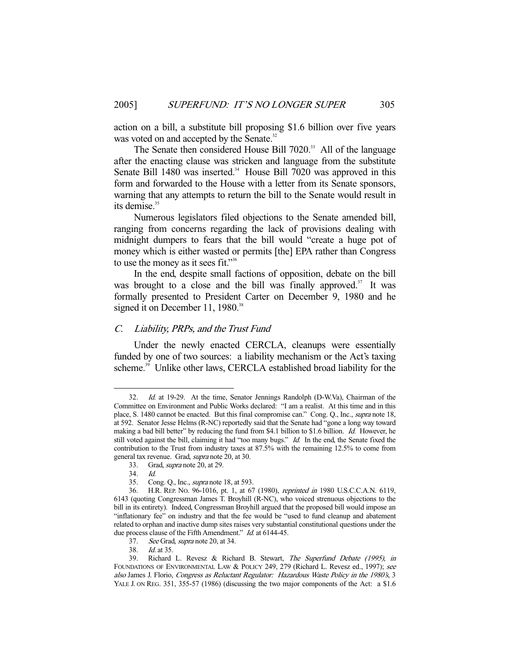action on a bill, a substitute bill proposing \$1.6 billion over five years was voted on and accepted by the Senate.<sup>32</sup>

The Senate then considered House Bill 7020.<sup>33</sup> All of the language after the enacting clause was stricken and language from the substitute Senate Bill 1480 was inserted.<sup>34</sup> House Bill 7020 was approved in this form and forwarded to the House with a letter from its Senate sponsors, warning that any attempts to return the bill to the Senate would result in its demise.<sup>35</sup>

 Numerous legislators filed objections to the Senate amended bill, ranging from concerns regarding the lack of provisions dealing with midnight dumpers to fears that the bill would "create a huge pot of money which is either wasted or permits [the] EPA rather than Congress to use the money as it sees fit."<sup>36</sup>

 In the end, despite small factions of opposition, debate on the bill was brought to a close and the bill was finally approved. $37$  It was formally presented to President Carter on December 9, 1980 and he signed it on December 11, 1980.<sup>38</sup>

# C. Liability, PRPs, and the Trust Fund

 Under the newly enacted CERCLA, cleanups were essentially funded by one of two sources: a liability mechanism or the Act's taxing scheme.<sup>39</sup> Unlike other laws, CERCLA established broad liability for the

 <sup>32.</sup> Id. at 19-29. At the time, Senator Jennings Randolph (D-W.Va), Chairman of the Committee on Environment and Public Works declared: "I am a realist. At this time and in this place, S. 1480 cannot be enacted. But this final compromise can." Cong. Q., Inc., supra note 18, at 592. Senator Jesse Helms (R-NC) reportedly said that the Senate had "gone a long way toward making a bad bill better" by reducing the fund from \$4.1 billion to \$1.6 billion. Id. However, he still voted against the bill, claiming it had "too many bugs." Id. In the end, the Senate fixed the contribution to the Trust from industry taxes at 87.5% with the remaining 12.5% to come from general tax revenue. Grad, supra note 20, at 30.

 <sup>33.</sup> Grad, supra note 20, at 29.

 <sup>34.</sup> Id.

 <sup>35.</sup> Cong. Q., Inc., supra note 18, at 593.

 <sup>36.</sup> H.R. REP. NO. 96-1016, pt. 1, at 67 (1980), reprinted in 1980 U.S.C.C.A.N. 6119, 6143 (quoting Congressman James T. Broyhill (R-NC), who voiced strenuous objections to the bill in its entirety). Indeed, Congressman Broyhill argued that the proposed bill would impose an "inflationary fee" on industry and that the fee would be "used to fund cleanup and abatement related to orphan and inactive dump sites raises very substantial constitutional questions under the due process clause of the Fifth Amendment." Id. at 6144-45.

 <sup>37.</sup> See Grad, supra note 20, at 34.

 <sup>38.</sup> Id. at 35.

 <sup>39.</sup> Richard L. Revesz & Richard B. Stewart, The Superfund Debate (1995), in FOUNDATIONS OF ENVIRONMENTAL LAW & POLICY 249, 279 (Richard L. Revesz ed., 1997); see also James J. Florio, Congress as Reluctant Regulator: Hazardous Waste Policy in the 1980's, 3 YALE J. ON REG. 351, 355-57 (1986) (discussing the two major components of the Act: a \$1.6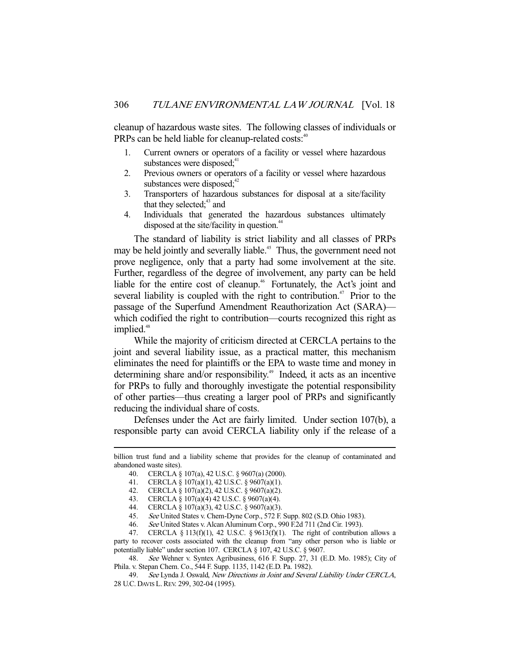cleanup of hazardous waste sites. The following classes of individuals or PRPs can be held liable for cleanup-related costs:<sup>40</sup>

- 1. Current owners or operators of a facility or vessel where hazardous substances were disposed: $41$
- 2. Previous owners or operators of a facility or vessel where hazardous substances were disposed; $42$
- 3. Transporters of hazardous substances for disposal at a site/facility that they selected; $43$  and
- 4. Individuals that generated the hazardous substances ultimately disposed at the site/facility in question.<sup>44</sup>

 The standard of liability is strict liability and all classes of PRPs may be held jointly and severally liable.<sup>45</sup> Thus, the government need not prove negligence, only that a party had some involvement at the site. Further, regardless of the degree of involvement, any party can be held liable for the entire cost of cleanup.<sup>46</sup> Fortunately, the Act's joint and several liability is coupled with the right to contribution.<sup> $47$ </sup> Prior to the passage of the Superfund Amendment Reauthorization Act (SARA) which codified the right to contribution—courts recognized this right as implied.<sup>48</sup>

 While the majority of criticism directed at CERCLA pertains to the joint and several liability issue, as a practical matter, this mechanism eliminates the need for plaintiffs or the EPA to waste time and money in determining share and/or responsibility.<sup>49</sup> Indeed, it acts as an incentive for PRPs to fully and thoroughly investigate the potential responsibility of other parties—thus creating a larger pool of PRPs and significantly reducing the individual share of costs.

 Defenses under the Act are fairly limited. Under section 107(b), a responsible party can avoid CERCLA liability only if the release of a

-

47. CERCLA § 113(f)(1), 42 U.S.C. § 9613(f)(1). The right of contribution allows a party to recover costs associated with the cleanup from "any other person who is liable or potentially liable" under section 107. CERCLA § 107, 42 U.S.C. § 9607.

48. See Wehner v. Syntex Agribusiness, 616 F. Supp. 27, 31 (E.D. Mo. 1985); City of Phila. v. Stepan Chem. Co., 544 F. Supp. 1135, 1142 (E.D. Pa. 1982).

billion trust fund and a liability scheme that provides for the cleanup of contaminated and abandoned waste sites).

 <sup>40.</sup> CERCLA § 107(a), 42 U.S.C. § 9607(a) (2000).

 <sup>41.</sup> CERCLA § 107(a)(1), 42 U.S.C. § 9607(a)(1).

 <sup>42.</sup> CERCLA § 107(a)(2), 42 U.S.C. § 9607(a)(2).

 <sup>43.</sup> CERCLA § 107(a)(4) 42 U.S.C. § 9607(a)(4).

 <sup>44.</sup> CERCLA § 107(a)(3), 42 U.S.C. § 9607(a)(3).

 <sup>45.</sup> See United States v. Chem-Dyne Corp., 572 F. Supp. 802 (S.D. Ohio 1983).

 <sup>46.</sup> See United States v. Alcan Aluminum Corp., 990 F.2d 711 (2nd Cir. 1993).

 <sup>49.</sup> See Lynda J. Oswald, New Directions in Joint and Several Liability Under CERCLA, 28 U.C. DAVIS L.REV. 299, 302-04 (1995).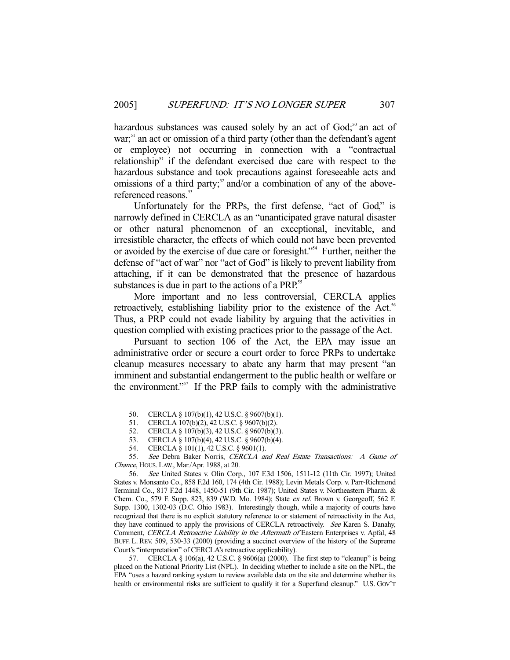hazardous substances was caused solely by an act of  $God;<sup>50</sup>$  an act of war;<sup>51</sup> an act or omission of a third party (other than the defendant's agent or employee) not occurring in connection with a "contractual relationship" if the defendant exercised due care with respect to the hazardous substance and took precautions against foreseeable acts and omissions of a third party;<sup>52</sup> and/or a combination of any of the abovereferenced reasons.<sup>53</sup>

 Unfortunately for the PRPs, the first defense, "act of God," is narrowly defined in CERCLA as an "unanticipated grave natural disaster or other natural phenomenon of an exceptional, inevitable, and irresistible character, the effects of which could not have been prevented or avoided by the exercise of due care or foresight."54 Further, neither the defense of "act of war" nor "act of God" is likely to prevent liability from attaching, if it can be demonstrated that the presence of hazardous substances is due in part to the actions of a PRP.<sup>55</sup>

 More important and no less controversial, CERCLA applies retroactively, establishing liability prior to the existence of the Act.<sup>56</sup> Thus, a PRP could not evade liability by arguing that the activities in question complied with existing practices prior to the passage of the Act.

 Pursuant to section 106 of the Act, the EPA may issue an administrative order or secure a court order to force PRPs to undertake cleanup measures necessary to abate any harm that may present "an imminent and substantial endangerment to the public health or welfare or the environment."<sup>57</sup> If the PRP fails to comply with the administrative

 <sup>50.</sup> CERCLA § 107(b)(1), 42 U.S.C. § 9607(b)(1).

 <sup>51.</sup> CERCLA 107(b)(2), 42 U.S.C. § 9607(b)(2).

 <sup>52.</sup> CERCLA § 107(b)(3), 42 U.S.C. § 9607(b)(3).

 <sup>53.</sup> CERCLA § 107(b)(4), 42 U.S.C. § 9607(b)(4).

 <sup>54.</sup> CERCLA § 101(1), 42 U.S.C. § 9601(1).

 <sup>55.</sup> See Debra Baker Norris, CERCLA and Real Estate Transactions: A Game of Chance, HOUS. LAW., Mar./Apr. 1988, at 20.

 <sup>56.</sup> See United States v. Olin Corp., 107 F.3d 1506, 1511-12 (11th Cir. 1997); United States v. Monsanto Co., 858 F.2d 160, 174 (4th Cir. 1988); Levin Metals Corp. v. Parr-Richmond Terminal Co., 817 F.2d 1448, 1450-51 (9th Cir. 1987); United States v. Northeastern Pharm. & Chem. Co., 579 F. Supp. 823, 839 (W.D. Mo. 1984); State ex rel. Brown v. Georgeoff, 562 F. Supp. 1300, 1302-03 (D.C. Ohio 1983). Interestingly though, while a majority of courts have recognized that there is no explicit statutory reference to or statement of retroactivity in the Act, they have continued to apply the provisions of CERCLA retroactively. See Karen S. Danahy, Comment, CERCLA Retroactive Liability in the Aftermath of Eastern Enterprises v. Apfal, 48 BUFF. L. REV. 509, 530-33 (2000) (providing a succinct overview of the history of the Supreme Court's "interpretation" of CERCLA's retroactive applicability).

 <sup>57.</sup> CERCLA § 106(a), 42 U.S.C. § 9606(a) (2000). The first step to "cleanup" is being placed on the National Priority List (NPL). In deciding whether to include a site on the NPL, the EPA "uses a hazard ranking system to review available data on the site and determine whether its health or environmental risks are sufficient to qualify it for a Superfund cleanup." U.S. Gov't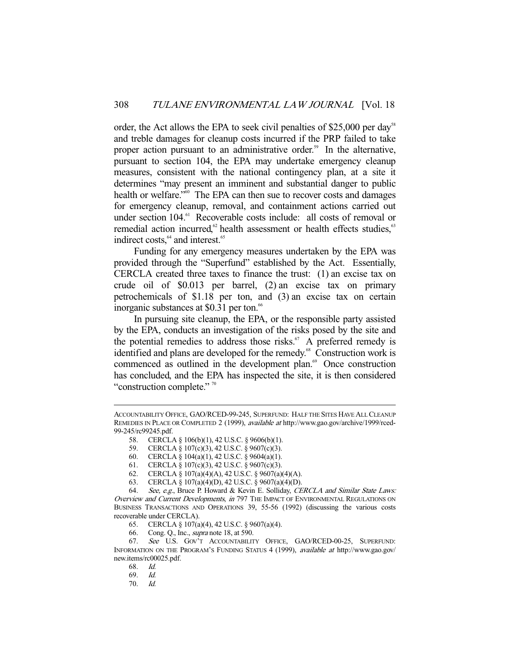order, the Act allows the EPA to seek civil penalties of \$25,000 per day<sup>58</sup> and treble damages for cleanup costs incurred if the PRP failed to take proper action pursuant to an administrative order.<sup>59</sup> In the alternative, pursuant to section 104, the EPA may undertake emergency cleanup measures, consistent with the national contingency plan, at a site it determines "may present an imminent and substantial danger to public health or welfare."<sup>60</sup> The EPA can then sue to recover costs and damages for emergency cleanup, removal, and containment actions carried out under section 104.<sup>61</sup> Recoverable costs include: all costs of removal or remedial action incurred, $62$  health assessment or health effects studies, $63$ indirect costs.<sup>64</sup> and interest.<sup>65</sup>

 Funding for any emergency measures undertaken by the EPA was provided through the "Superfund" established by the Act. Essentially, CERCLA created three taxes to finance the trust: (1) an excise tax on crude oil of \$0.013 per barrel, (2) an excise tax on primary petrochemicals of \$1.18 per ton, and (3) an excise tax on certain inorganic substances at \$0.31 per ton.<sup>66</sup>

 In pursuing site cleanup, the EPA, or the responsible party assisted by the EPA, conducts an investigation of the risks posed by the site and the potential remedies to address those risks. $67$  A preferred remedy is identified and plans are developed for the remedy.<sup>68</sup> Construction work is commenced as outlined in the development plan.<sup>69</sup> Once construction has concluded, and the EPA has inspected the site, it is then considered "construction complete."<sup>70</sup>

- 58. CERCLA § 106(b)(1), 42 U.S.C. § 9606(b)(1).
- 59. CERCLA § 107(c)(3), 42 U.S.C. § 9607(c)(3).
- 60. CERCLA § 104(a)(1), 42 U.S.C. § 9604(a)(1).
- 61. CERCLA § 107(c)(3), 42 U.S.C. § 9607(c)(3).
- 62. CERCLA § 107(a)(4)(A), 42 U.S.C. § 9607(a)(4)(A).
- 63. CERCLA § 107(a)(4)(D), 42 U.S.C. § 9607(a)(4)(D).

 64. See, e.g., Bruce P. Howard & Kevin E. Solliday, CERCLA and Similar State Laws: Overview and Current Developments, in 797 THE IMPACT OF ENVIRONMENTAL REGULATIONS ON BUSINESS TRANSACTIONS AND OPERATIONS 39, 55-56 (1992) (discussing the various costs recoverable under CERCLA).

65. CERCLA § 107(a)(4), 42 U.S.C. § 9607(a)(4).

66. Cong. Q., Inc., supra note 18, at 590.

 67. See U.S. GOV'T ACCOUNTABILITY OFFICE, GAO/RCED-00-25, SUPERFUND: INFORMATION ON THE PROGRAM'S FUNDING STATUS 4 (1999), available at http://www.gao.gov/ new.items/rc00025.pdf.

-

69. Id.

70. Id.

ACCOUNTABILITY OFFICE, GAO/RCED-99-245, SUPERFUND: HALF THE SITES HAVE ALL CLEANUP REMEDIES IN PLACE OR COMPLETED 2 (1999), available at http://www.gao.gov/archive/1999/rced-99-245/rc99245.pdf.

 <sup>68.</sup> Id.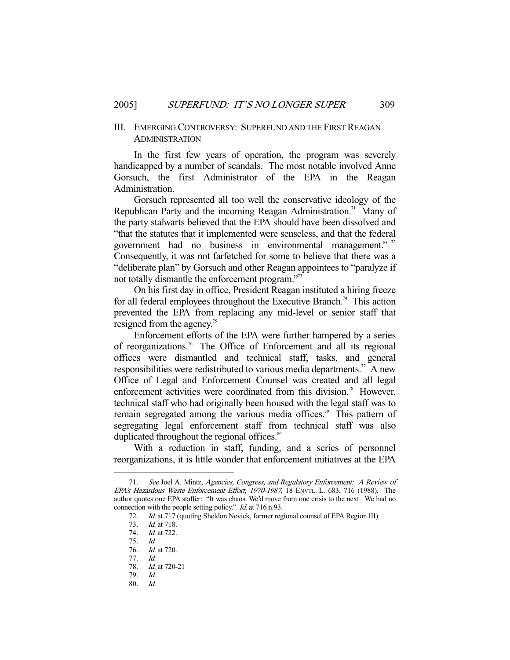# III. EMERGING CONTROVERSY: SUPERFUND AND THE FIRST REAGAN ADMINISTRATION

 In the first few years of operation, the program was severely handicapped by a number of scandals. The most notable involved Anne Gorsuch, the first Administrator of the EPA in the Reagan Administration.

 Gorsuch represented all too well the conservative ideology of the Republican Party and the incoming Reagan Administration.<sup>71</sup> Many of the party stalwarts believed that the EPA should have been dissolved and "that the statutes that it implemented were senseless, and that the federal government had no business in environmental management."<sup>72</sup> Consequently, it was not farfetched for some to believe that there was a "deliberate plan" by Gorsuch and other Reagan appointees to "paralyze if not totally dismantle the enforcement program."73

 On his first day in office, President Reagan instituted a hiring freeze for all federal employees throughout the Executive Branch.<sup>74</sup> This action prevented the EPA from replacing any mid-level or senior staff that resigned from the agency.<sup>75</sup>

 Enforcement efforts of the EPA were further hampered by a series of reorganizations.76 The Office of Enforcement and all its regional offices were dismantled and technical staff, tasks, and general responsibilities were redistributed to various media departments.<sup>77</sup> A new Office of Legal and Enforcement Counsel was created and all legal enforcement activities were coordinated from this division.<sup>78</sup> However, technical staff who had originally been housed with the legal staff was to remain segregated among the various media offices.<sup>79</sup> This pattern of segregating legal enforcement staff from technical staff was also duplicated throughout the regional offices.<sup>80</sup>

 With a reduction in staff, funding, and a series of personnel reorganizations, it is little wonder that enforcement initiatives at the EPA

 <sup>71.</sup> See Joel A. Mintz, Agencies, Congress, and Regulatory Enforcement: A Review of EPA's Hazardous Waste Enforcement Effort, 1970-1987, 18 ENVTL. L. 683, 716 (1988). The author quotes one EPA staffer: "It was chaos. We'd move from one crisis to the next. We had no connection with the people setting policy." *Id.* at 716 n.93.

 <sup>72.</sup> Id. at 717 (quoting Sheldon Novick, former regional counsel of EPA Region III).

 <sup>73.</sup> Id. at 718.

 <sup>74.</sup> Id. at 722.

 <sup>75.</sup> Id. Id. at 720.

 <sup>77.</sup> Id.

 <sup>78.</sup> Id. at 720-21

 <sup>79.</sup> Id.

 <sup>80.</sup> Id.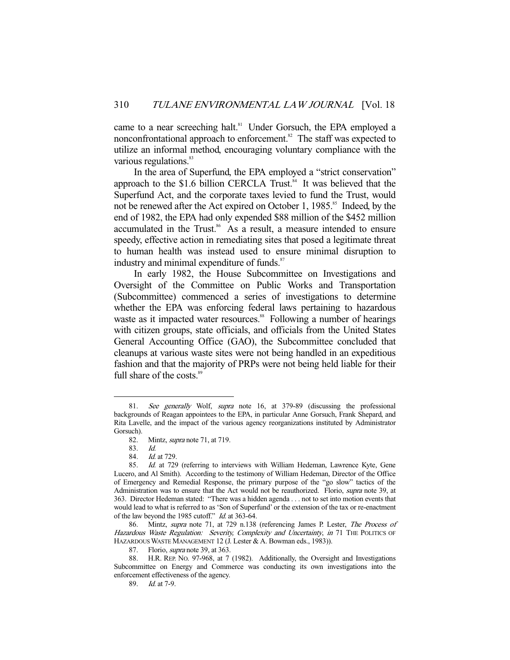came to a near screeching halt.<sup>81</sup> Under Gorsuch, the EPA employed a nonconfrontational approach to enforcement.<sup>82</sup> The staff was expected to utilize an informal method, encouraging voluntary compliance with the various regulations.<sup>83</sup>

 In the area of Superfund, the EPA employed a "strict conservation" approach to the  $$1.6$  billion CERCLA Trust.<sup>84</sup> It was believed that the Superfund Act, and the corporate taxes levied to fund the Trust, would not be renewed after the Act expired on October 1, 1985.<sup>85</sup> Indeed, by the end of 1982, the EPA had only expended \$88 million of the \$452 million accumulated in the Trust.<sup>86</sup> As a result, a measure intended to ensure speedy, effective action in remediating sites that posed a legitimate threat to human health was instead used to ensure minimal disruption to industry and minimal expenditure of funds.<sup>87</sup>

 In early 1982, the House Subcommittee on Investigations and Oversight of the Committee on Public Works and Transportation (Subcommittee) commenced a series of investigations to determine whether the EPA was enforcing federal laws pertaining to hazardous waste as it impacted water resources.<sup>88</sup> Following a number of hearings with citizen groups, state officials, and officials from the United States General Accounting Office (GAO), the Subcommittee concluded that cleanups at various waste sites were not being handled in an expeditious fashion and that the majority of PRPs were not being held liable for their full share of the costs.<sup>89</sup>

<sup>81.</sup> See generally Wolf, supra note 16, at 379-89 (discussing the professional backgrounds of Reagan appointees to the EPA, in particular Anne Gorsuch, Frank Shepard, and Rita Lavelle, and the impact of the various agency reorganizations instituted by Administrator Gorsuch).

 <sup>82.</sup> Mintz, supra note 71, at 719.

 <sup>83.</sup> Id.

 <sup>84.</sup> Id. at 729.

 <sup>85.</sup> Id. at 729 (referring to interviews with William Hedeman, Lawrence Kyte, Gene Lucero, and Al Smith). According to the testimony of William Hedeman, Director of the Office of Emergency and Remedial Response, the primary purpose of the "go slow" tactics of the Administration was to ensure that the Act would not be reauthorized. Florio, supra note 39, at 363. Director Hedeman stated: "There was a hidden agenda . . . not to set into motion events that would lead to what is referred to as 'Son of Superfund' or the extension of the tax or re-enactment of the law beyond the 1985 cutoff." Id. at 363-64.

<sup>86.</sup> Mintz, supra note 71, at 729 n.138 (referencing James P. Lester, The Process of Hazardous Waste Regulation: Severity, Complexity and Uncertainty, in 71 THE POLITICS OF HAZARDOUS WASTE MANAGEMENT 12 (J. Lester & A. Bowman eds., 1983)).

<sup>87.</sup> Florio, *supra* note 39, at 363.

 <sup>88.</sup> H.R. REP. NO. 97-968, at 7 (1982). Additionally, the Oversight and Investigations Subcommittee on Energy and Commerce was conducting its own investigations into the enforcement effectiveness of the agency.

 <sup>89.</sup> Id. at 7-9.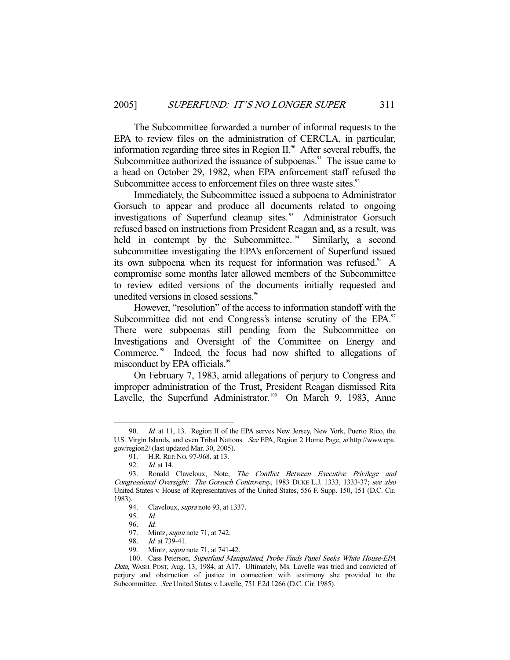The Subcommittee forwarded a number of informal requests to the EPA to review files on the administration of CERCLA, in particular, information regarding three sites in Region  $II.^{\circ\circ}$ . After several rebuffs, the Subcommittee authorized the issuance of subpoenas.<sup>91</sup> The issue came to a head on October 29, 1982, when EPA enforcement staff refused the Subcommittee access to enforcement files on three waste sites.<sup>92</sup>

 Immediately, the Subcommittee issued a subpoena to Administrator Gorsuch to appear and produce all documents related to ongoing investigations of Superfund cleanup sites.<sup>93</sup> Administrator Gorsuch refused based on instructions from President Reagan and, as a result, was held in contempt by the Subcommittee.<sup>94</sup> Similarly, a second subcommittee investigating the EPA's enforcement of Superfund issued its own subpoena when its request for information was refused.<sup>95</sup> A compromise some months later allowed members of the Subcommittee to review edited versions of the documents initially requested and unedited versions in closed sessions.<sup>96</sup>

 However, "resolution" of the access to information standoff with the Subcommittee did not end Congress's intense scrutiny of the EPA.<sup>97</sup> There were subpoenas still pending from the Subcommittee on Investigations and Oversight of the Committee on Energy and Commerce.<sup>98</sup> Indeed, the focus had now shifted to allegations of misconduct by EPA officials.<sup>99</sup>

 On February 7, 1983, amid allegations of perjury to Congress and improper administration of the Trust, President Reagan dismissed Rita Lavelle, the Superfund Administrator.<sup>100</sup> On March 9, 1983, Anne

<sup>90.</sup> *Id.* at 11, 13. Region II of the EPA serves New Jersey, New York, Puerto Rico, the U.S. Virgin Islands, and even Tribal Nations. See EPA, Region 2 Home Page, at http://www.epa. gov/region2/ (last updated Mar. 30, 2005).

<sup>91.</sup> H.R. REP. No. 97-968, at 13.

 <sup>92.</sup> Id. at 14.

<sup>93.</sup> Ronald Claveloux, Note, The Conflict Between Executive Privilege and Congressional Oversight: The Gorsuch Controversy, 1983 DUKE L.J. 1333, 1333-37; see also United States v. House of Representatives of the United States, 556 F. Supp. 150, 151 (D.C. Cir. 1983).

<sup>94.</sup> Claveloux, *supra* note 93, at 1337.

 <sup>95.</sup> Id.

 <sup>96.</sup> Id.

 <sup>97.</sup> Mintz, supra note 71, at 742.

<sup>98.</sup> *Id.* at 739-41.

<sup>99.</sup> Mintz, *supra* note 71, at 741-42.

 <sup>100.</sup> Cass Peterson, Superfund Manipulated, Probe Finds Panel Seeks White House-EPA Data, WASH. POST, Aug. 13, 1984, at A17. Ultimately, Ms. Lavelle was tried and convicted of perjury and obstruction of justice in connection with testimony she provided to the Subcommittee. See United States v. Lavelle, 751 F.2d 1266 (D.C. Cir. 1985).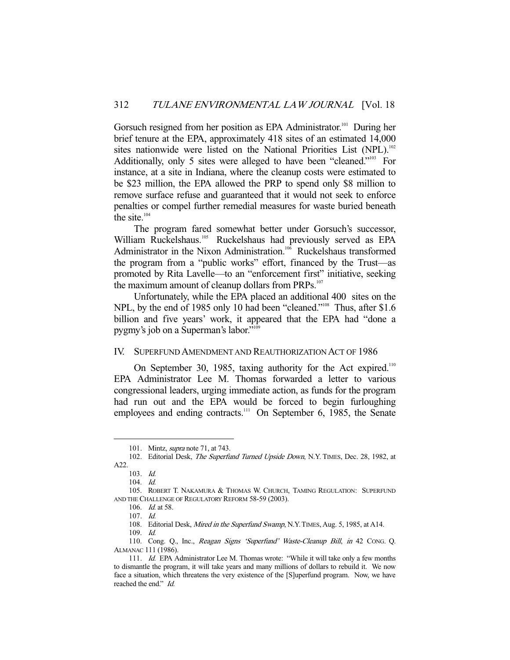Gorsuch resigned from her position as EPA Administrator.<sup>101</sup> During her brief tenure at the EPA, approximately 418 sites of an estimated 14,000 sites nationwide were listed on the National Priorities List (NPL).<sup>102</sup> Additionally, only 5 sites were alleged to have been "cleaned."<sup>103</sup> For instance, at a site in Indiana, where the cleanup costs were estimated to be \$23 million, the EPA allowed the PRP to spend only \$8 million to remove surface refuse and guaranteed that it would not seek to enforce penalties or compel further remedial measures for waste buried beneath the site.<sup>104</sup>

 The program fared somewhat better under Gorsuch's successor, William Ruckelshaus.<sup>105</sup> Ruckelshaus had previously served as EPA Administrator in the Nixon Administration.<sup>106</sup> Ruckelshaus transformed the program from a "public works" effort, financed by the Trust—as promoted by Rita Lavelle—to an "enforcement first" initiative, seeking the maximum amount of cleanup dollars from PRPs.<sup>107</sup>

 Unfortunately, while the EPA placed an additional 400 sites on the NPL, by the end of 1985 only 10 had been "cleaned."<sup>108</sup> Thus, after \$1.6 billion and five years' work, it appeared that the EPA had "done a pygmy's job on a Superman's labor."

#### IV. SUPERFUND AMENDMENT AND REAUTHORIZATION ACT OF 1986

On September 30, 1985, taxing authority for the Act expired.<sup>110</sup> EPA Administrator Lee M. Thomas forwarded a letter to various congressional leaders, urging immediate action, as funds for the program had run out and the EPA would be forced to begin furloughing employees and ending contracts.<sup>111</sup> On September 6, 1985, the Senate

-

108. Editorial Desk, Mired in the Superfund Swamp, N.Y. TIMES, Aug. 5, 1985, at A14.

 <sup>101.</sup> Mintz, supra note 71, at 743.

<sup>102.</sup> Editorial Desk, The Superfund Turned Upside Down, N.Y. TIMES, Dec. 28, 1982, at A22.

 <sup>103.</sup> Id.

 <sup>104.</sup> Id.

 <sup>105.</sup> ROBERT T. NAKAMURA & THOMAS W. CHURCH, TAMING REGULATION: SUPERFUND AND THE CHALLENGE OF REGULATORY REFORM 58-59 (2003).

 <sup>106.</sup> Id. at 58.

 <sup>107.</sup> Id.

 <sup>109.</sup> Id.

 <sup>110.</sup> Cong. Q., Inc., Reagan Signs 'Superfund' Waste-Cleanup Bill, in 42 CONG. Q. ALMANAC 111 (1986).

 <sup>111.</sup> Id. EPA Administrator Lee M. Thomas wrote: "While it will take only a few months to dismantle the program, it will take years and many millions of dollars to rebuild it. We now face a situation, which threatens the very existence of the [S]uperfund program. Now, we have reached the end." Id.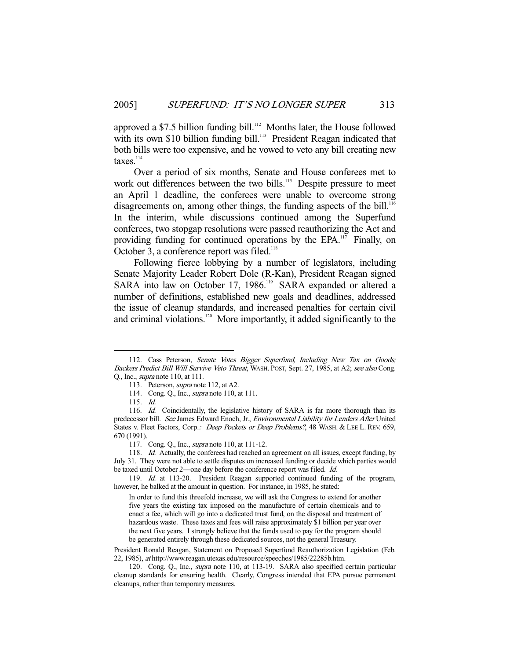approved a \$7.5 billion funding bill.<sup>112</sup> Months later, the House followed with its own \$10 billion funding bill.<sup>113</sup> President Reagan indicated that both bills were too expensive, and he vowed to veto any bill creating new  $taxes.<sup>114</sup>$ 

 Over a period of six months, Senate and House conferees met to work out differences between the two bills.<sup>115</sup> Despite pressure to meet an April 1 deadline, the conferees were unable to overcome strong disagreements on, among other things, the funding aspects of the bill.<sup>116</sup> In the interim, while discussions continued among the Superfund conferees, two stopgap resolutions were passed reauthorizing the Act and providing funding for continued operations by the EPA.<sup>117</sup> Finally, on October 3, a conference report was filed.<sup>118</sup>

 Following fierce lobbying by a number of legislators, including Senate Majority Leader Robert Dole (R-Kan), President Reagan signed SARA into law on October 17, 1986.<sup>119</sup> SARA expanded or altered a number of definitions, established new goals and deadlines, addressed the issue of cleanup standards, and increased penalties for certain civil and criminal violations.<sup>120</sup> More importantly, it added significantly to the

<sup>112.</sup> Cass Peterson, Senate Votes Bigger Superfund, Including New Tax on Goods; Backers Predict Bill Will Survive Veto Threat, WASH. POST, Sept. 27, 1985, at A2; see also Cong. Q., Inc., supra note 110, at 111.

 <sup>113.</sup> Peterson, supra note 112, at A2.

 <sup>114.</sup> Cong. Q., Inc., supra note 110, at 111.

 <sup>115.</sup> Id.

<sup>116.</sup> Id. Coincidentally, the legislative history of SARA is far more thorough than its predecessor bill. See James Edward Enoch, Jr., Environmental Liability for Lenders After United States v. Fleet Factors, Corp.: *Deep Pockets or Deep Problems?*, 48 WASH. & LEE L. REV. 659, 670 (1991).

 <sup>117.</sup> Cong. Q., Inc., supra note 110, at 111-12.

<sup>118.</sup> Id. Actually, the conferees had reached an agreement on all issues, except funding, by July 31. They were not able to settle disputes on increased funding or decide which parties would be taxed until October 2—one day before the conference report was filed. Id.

<sup>119.</sup> Id. at 113-20. President Reagan supported continued funding of the program, however, he balked at the amount in question. For instance, in 1985, he stated:

In order to fund this threefold increase, we will ask the Congress to extend for another five years the existing tax imposed on the manufacture of certain chemicals and to enact a fee, which will go into a dedicated trust fund, on the disposal and treatment of hazardous waste. These taxes and fees will raise approximately \$1 billion per year over the next five years. I strongly believe that the funds used to pay for the program should be generated entirely through these dedicated sources, not the general Treasury.

President Ronald Reagan, Statement on Proposed Superfund Reauthorization Legislation (Feb. 22, 1985), at http://www.reagan.utexas.edu/resource/speeches/1985/22285b.htm.

<sup>120.</sup> Cong. Q., Inc., *supra* note 110, at 113-19. SARA also specified certain particular cleanup standards for ensuring health. Clearly, Congress intended that EPA pursue permanent cleanups, rather than temporary measures.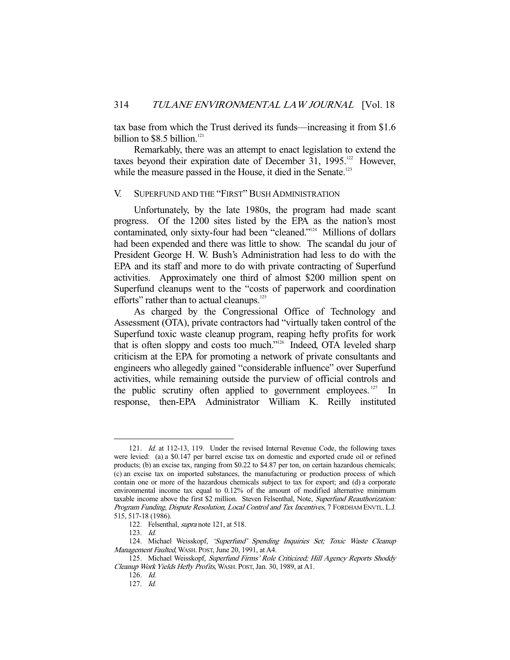tax base from which the Trust derived its funds—increasing it from \$1.6 billion to  $$8.5$  billion.<sup>121</sup>

 Remarkably, there was an attempt to enact legislation to extend the taxes beyond their expiration date of December 31, 1995.<sup>122</sup> However, while the measure passed in the House, it died in the Senate.<sup>123</sup>

#### V. SUPERFUND AND THE "FIRST" BUSH ADMINISTRATION

 Unfortunately, by the late 1980s, the program had made scant progress. Of the 1200 sites listed by the EPA as the nation's most contaminated, only sixty-four had been "cleaned."124 Millions of dollars had been expended and there was little to show. The scandal du jour of President George H. W. Bush's Administration had less to do with the EPA and its staff and more to do with private contracting of Superfund activities. Approximately one third of almost \$200 million spent on Superfund cleanups went to the "costs of paperwork and coordination efforts" rather than to actual cleanups.<sup>125</sup>

 As charged by the Congressional Office of Technology and Assessment (OTA), private contractors had "virtually taken control of the Superfund toxic waste cleanup program, reaping hefty profits for work that is often sloppy and costs too much."<sup>126</sup> Indeed, OTA leveled sharp criticism at the EPA for promoting a network of private consultants and engineers who allegedly gained "considerable influence" over Superfund activities, while remaining outside the purview of official controls and the public scrutiny often applied to government employees.  $127$  In response, then-EPA Administrator William K. Reilly instituted

<sup>121.</sup> Id. at 112-13, 119. Under the revised Internal Revenue Code, the following taxes were levied: (a) a \$0.147 per barrel excise tax on domestic and exported crude oil or refined products; (b) an excise tax, ranging from \$0.22 to \$4.87 per ton, on certain hazardous chemicals; (c) an excise tax on imported substances, the manufacturing or production process of which contain one or more of the hazardous chemicals subject to tax for export; and (d) a corporate environmental income tax equal to 0.12% of the amount of modified alternative minimum taxable income above the first \$2 million. Steven Felsenthal, Note, Superfund Reauthorization: Program Funding, Dispute Resolution, Local Control and Tax Incentives, 7 FORDHAM ENVTL. L.J. 515, 517-18 (1986).

 <sup>122.</sup> Felsenthal, supra note 121, at 518.

 <sup>123.</sup> Id.

 <sup>124.</sup> Michael Weisskopf, 'Superfund' Spending Inquiries Set; Toxic Waste Cleanup Management Faulted, WASH. POST, June 20, 1991, at A4.

<sup>125.</sup> Michael Weisskopf, Superfund Firms' Role Criticized; Hill Agency Reports Shoddy Cleanup Work Yields Hefty Profits, WASH. POST, Jan. 30, 1989, at A1.

 <sup>126.</sup> Id.

 <sup>127.</sup> Id.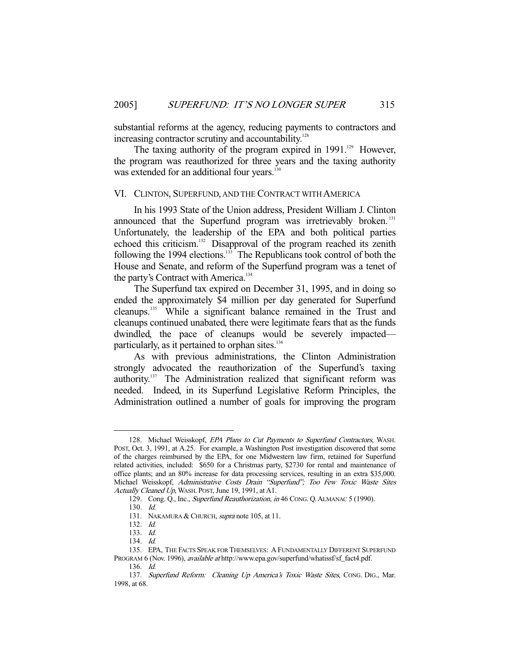substantial reforms at the agency, reducing payments to contractors and increasing contractor scrutiny and accountability.<sup>128</sup>

The taxing authority of the program expired in  $1991$ .<sup>129</sup> However, the program was reauthorized for three years and the taxing authority was extended for an additional four years.<sup>130</sup>

#### VI. CLINTON, SUPERFUND, AND THE CONTRACT WITH AMERICA

 In his 1993 State of the Union address, President William J. Clinton announced that the Superfund program was irretrievably broken.<sup>131</sup> Unfortunately, the leadership of the EPA and both political parties echoed this criticism.132 Disapproval of the program reached its zenith following the 1994 elections.<sup>133</sup> The Republicans took control of both the House and Senate, and reform of the Superfund program was a tenet of the party's Contract with America.<sup>134</sup>

 The Superfund tax expired on December 31, 1995, and in doing so ended the approximately \$4 million per day generated for Superfund cleanups.135 While a significant balance remained in the Trust and cleanups continued unabated, there were legitimate fears that as the funds dwindled, the pace of cleanups would be severely impacted particularly, as it pertained to orphan sites.<sup>136</sup>

 As with previous administrations, the Clinton Administration strongly advocated the reauthorization of the Superfund's taxing authority.137 The Administration realized that significant reform was needed. Indeed, in its Superfund Legislative Reform Principles, the Administration outlined a number of goals for improving the program

<sup>128.</sup> Michael Weisskopf, EPA Plans to Cut Payments to Superfund Contractors, WASH. POST, Oct. 3, 1991, at A.25. For example, a Washington Post investigation discovered that some of the charges reimbursed by the EPA, for one Midwestern law firm, retained for Superfund related activities, included: \$650 for a Christmas party, \$2730 for rental and maintenance of office plants; and an 80% increase for data processing services, resulting in an extra \$35,000. Michael Weisskopf, Administrative Costs Drain "Superfund"; Too Few Toxic Waste Sites Actually Cleaned Up, WASH. POST, June 19, 1991, at A1.

<sup>129.</sup> Cong. Q., Inc., Superfund Reauthorization, in 46 CONG. Q. ALMANAC 5 (1990).

 <sup>130.</sup> Id.

<sup>131.</sup> NAKAMURA & CHURCH, *supra* note 105, at 11.

 <sup>132.</sup> Id.

 <sup>133.</sup> Id.

 <sup>134.</sup> Id.

 <sup>135.</sup> EPA, THE FACTS SPEAK FOR THEMSELVES: A FUNDAMENTALLY DIFFERENT SUPERFUND PROGRAM 6 (Nov. 1996), available at http://www.epa.gov/superfund/whatissf/sf\_fact4.pdf. 136. Id.

<sup>137.</sup> Superfund Reform: Cleaning Up America's Toxic Waste Sites, CONG. DIG., Mar. 1998, at 68.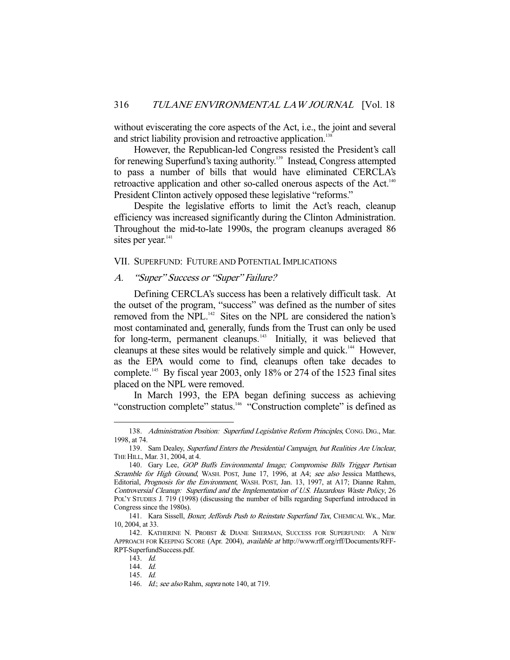without eviscerating the core aspects of the Act, i.e., the joint and several and strict liability provision and retroactive application.<sup>13</sup>

 However, the Republican-led Congress resisted the President's call for renewing Superfund's taxing authority.<sup>139</sup> Instead, Congress attempted to pass a number of bills that would have eliminated CERCLA's retroactive application and other so-called onerous aspects of the Act.<sup>140</sup> President Clinton actively opposed these legislative "reforms."

 Despite the legislative efforts to limit the Act's reach, cleanup efficiency was increased significantly during the Clinton Administration. Throughout the mid-to-late 1990s, the program cleanups averaged 86 sites per year.<sup>141</sup>

#### VII. SUPERFUND: FUTURE AND POTENTIAL IMPLICATIONS

#### A. "Super" Success or "Super" Failure?

 Defining CERCLA's success has been a relatively difficult task. At the outset of the program, "success" was defined as the number of sites removed from the NPL.<sup>142</sup> Sites on the NPL are considered the nation's most contaminated and, generally, funds from the Trust can only be used for long-term, permanent cleanups.<sup>143</sup> Initially, it was believed that cleanups at these sites would be relatively simple and quick.144 However, as the EPA would come to find, cleanups often take decades to complete.<sup>145</sup> By fiscal year 2003, only 18% or 274 of the 1523 final sites placed on the NPL were removed.

 In March 1993, the EPA began defining success as achieving "construction complete" status.<sup>146</sup> "Construction complete" is defined as

<sup>138.</sup> Administration Position: Superfund Legislative Reform Principles, CONG. DIG., Mar. 1998, at 74.

<sup>139.</sup> Sam Dealey, Superfund Enters the Presidential Campaign, but Realities Are Unclear, THE HILL, Mar. 31, 2004, at 4.

<sup>140.</sup> Gary Lee, GOP Buffs Environmental Image; Compromise Bills Trigger Partisan Scramble for High Ground, WASH. POST, June 17, 1996, at A4; see also Jessica Matthews, Editorial, Prognosis for the Environment, WASH. POST, Jan. 13, 1997, at A17; Dianne Rahm, Controversial Cleanup: Superfund and the Implementation of U.S. Hazardous Waste Policy, 26 POL'Y STUDIES J. 719 (1998) (discussing the number of bills regarding Superfund introduced in Congress since the 1980s).

<sup>141.</sup> Kara Sissell, Boxer, Jeffords Push to Reinstate Superfund Tax, CHEMICAL WK., Mar. 10, 2004, at 33.

 <sup>142.</sup> KATHERINE N. PROBST & DIANE SHERMAN, SUCCESS FOR SUPERFUND: A NEW APPROACH FOR KEEPING SCORE (Apr. 2004), available at http://www.rff.org/rff/Documents/RFF-RPT-SuperfundSuccess.pdf.

 <sup>143.</sup> Id.

 <sup>144.</sup> Id.

 <sup>145.</sup> Id.

<sup>146.</sup> *Id.; see also* Rahm, *supra* note 140, at 719.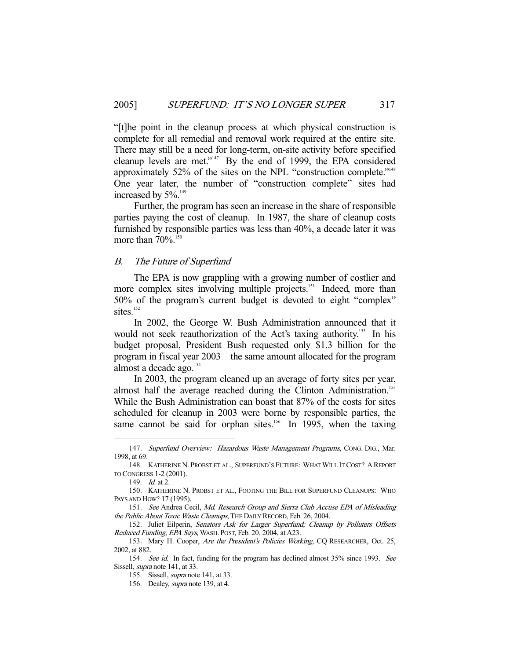"[t]he point in the cleanup process at which physical construction is complete for all remedial and removal work required at the entire site. There may still be a need for long-term, on-site activity before specified cleanup levels are met."147 By the end of 1999, the EPA considered approximately 52% of the sites on the NPL "construction complete."<sup>148</sup> One year later, the number of "construction complete" sites had increased by  $5\%$ .<sup>149</sup>

 Further, the program has seen an increase in the share of responsible parties paying the cost of cleanup. In 1987, the share of cleanup costs furnished by responsible parties was less than 40%, a decade later it was more than  $70\%$ <sup>150</sup>

# B. The Future of Superfund

 The EPA is now grappling with a growing number of costlier and more complex sites involving multiple projects.<sup>151</sup> Indeed, more than 50% of the program's current budget is devoted to eight "complex" sites. $152$ 

 In 2002, the George W. Bush Administration announced that it would not seek reauthorization of the Act's taxing authority.<sup>153</sup> In his budget proposal, President Bush requested only \$1.3 billion for the program in fiscal year 2003—the same amount allocated for the program almost a decade ago. $154$ 

 In 2003, the program cleaned up an average of forty sites per year, almost half the average reached during the Clinton Administration.<sup>155</sup> While the Bush Administration can boast that 87% of the costs for sites scheduled for cleanup in 2003 were borne by responsible parties, the same cannot be said for orphan sites.<sup>156</sup> In 1995, when the taxing

<sup>147.</sup> Superfund Overview: Hazardous Waste Management Programs, CONG. DIG., Mar. 1998, at 69.

 <sup>148.</sup> KATHERINE N. PROBST ET AL., SUPERFUND'S FUTURE: WHAT WILL IT COST? A REPORT TO CONGRESS 1-2 (2001).

 <sup>149.</sup> Id. at 2.

 <sup>150.</sup> KATHERINE N. PROBST ET AL., FOOTING THE BILL FOR SUPERFUND CLEANUPS: WHO PAYS AND HOW? 17 (1995).

<sup>151.</sup> See Andrea Cecil, Md. Research Group and Sierra Club Accuse EPA of Misleading the Public About Toxic Waste Cleanups, THE DAILY RECORD, Feb. 26, 2004.

 <sup>152.</sup> Juliet Eilperin, Senators Ask for Larger Superfund; Cleanup by Polluters Offsets Reduced Funding, EPA Says, WASH. POST, Feb. 20, 2004, at A23.

 <sup>153.</sup> Mary H. Cooper, Are the President's Policies Working, CQ RESEARCHER, Oct. 25, 2002, at 882.

<sup>154.</sup> See id. In fact, funding for the program has declined almost 35% since 1993. See Sissell, *supra* note 141, at 33.

 <sup>155.</sup> Sissell, supra note 141, at 33.

 <sup>156.</sup> Dealey, supra note 139, at 4.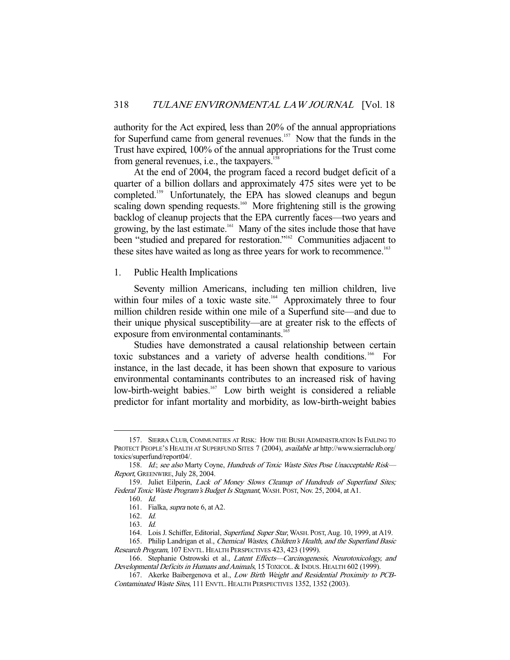authority for the Act expired, less than 20% of the annual appropriations for Superfund came from general revenues.<sup>157</sup> Now that the funds in the Trust have expired, 100% of the annual appropriations for the Trust come from general revenues, i.e., the taxpayers. $<sup>1</sup>$ </sup>

 At the end of 2004, the program faced a record budget deficit of a quarter of a billion dollars and approximately 475 sites were yet to be completed.159 Unfortunately, the EPA has slowed cleanups and begun scaling down spending requests.<sup>160</sup> More frightening still is the growing backlog of cleanup projects that the EPA currently faces—two years and growing, by the last estimate.<sup>161</sup> Many of the sites include those that have been "studied and prepared for restoration."<sup>162</sup> Communities adjacent to these sites have waited as long as three years for work to recommence.<sup>163</sup>

1. Public Health Implications

 Seventy million Americans, including ten million children, live within four miles of a toxic waste site.<sup>164</sup> Approximately three to four million children reside within one mile of a Superfund site—and due to their unique physical susceptibility—are at greater risk to the effects of exposure from environmental contaminants.<sup>165</sup>

 Studies have demonstrated a causal relationship between certain toxic substances and a variety of adverse health conditions.<sup>166</sup> For instance, in the last decade, it has been shown that exposure to various environmental contaminants contributes to an increased risk of having low-birth-weight babies.<sup>167</sup> Low birth weight is considered a reliable predictor for infant mortality and morbidity, as low-birth-weight babies

 <sup>157.</sup> SIERRA CLUB, COMMUNITIES AT RISK: HOW THE BUSH ADMINISTRATION IS FAILING TO PROTECT PEOPLE'S HEALTH AT SUPERFUND SITES 7 (2004), available at http://www.sierraclub.org/ toxics/superfund/report04/.

<sup>158.</sup> Id.; see also Marty Coyne, Hundreds of Toxic Waste Sites Pose Unacceptable Risk-Report, GREENWIRE, July 28, 2004.

<sup>159.</sup> Juliet Eilperin, Lack of Money Slows Cleanup of Hundreds of Superfund Sites; Federal Toxic Waste Program's Budget Is Stagnant, WASH. POST, Nov. 25, 2004, at A1.

 <sup>160.</sup> Id. 161. Fialka, supra note 6, at A2.

 <sup>162.</sup> Id.

 <sup>163.</sup> Id.

<sup>164.</sup> Lois J. Schiffer, Editorial, Superfund, Super Star, WASH. POST, Aug. 10, 1999, at A19.

<sup>165.</sup> Philip Landrigan et al., Chemical Wastes, Children's Health, and the Superfund Basic Research Program, 107 ENVTL. HEALTH PERSPECTIVES 423, 423 (1999).

 <sup>166.</sup> Stephanie Ostrowski et al., Latent Effects—Carcinogenesis, Neurotoxicology, and Developmental Deficits in Humans and Animals, 15 TOXICOL. & INDUS. HEALTH 602 (1999).

 <sup>167.</sup> Akerke Baibergenova et al., Low Birth Weight and Residential Proximity to PCB-Contaminated Waste Sites, 111 ENVTL. HEALTH PERSPECTIVES 1352, 1352 (2003).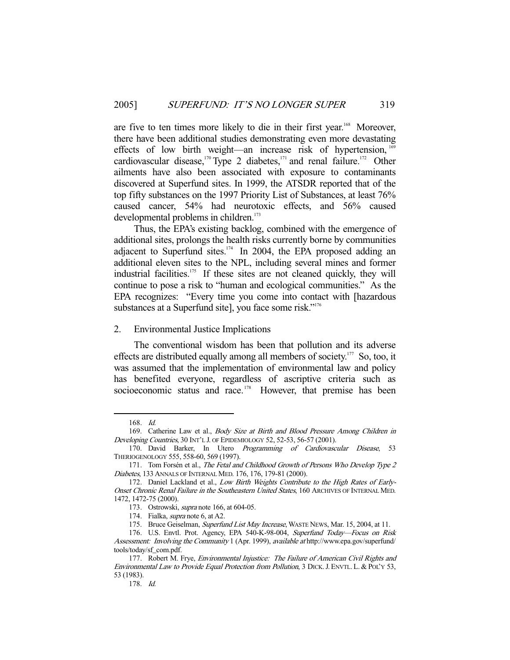are five to ten times more likely to die in their first year.<sup>168</sup> Moreover, there have been additional studies demonstrating even more devastating effects of low birth weight—an increase risk of hypertension, $<sup>1</sup>$ </sup> cardiovascular disease,<sup>170</sup> Type 2 diabetes,<sup>171</sup> and renal failure.<sup>172</sup> Other ailments have also been associated with exposure to contaminants discovered at Superfund sites. In 1999, the ATSDR reported that of the top fifty substances on the 1997 Priority List of Substances, at least 76% caused cancer, 54% had neurotoxic effects, and 56% caused developmental problems in children.<sup>173</sup>

 Thus, the EPA's existing backlog, combined with the emergence of additional sites, prolongs the health risks currently borne by communities adjacent to Superfund sites. $174$  In 2004, the EPA proposed adding an additional eleven sites to the NPL, including several mines and former industrial facilities.<sup>175</sup> If these sites are not cleaned quickly, they will continue to pose a risk to "human and ecological communities." As the EPA recognizes: "Every time you come into contact with [hazardous substances at a Superfund site], you face some risk."<sup>176</sup>

# 2. Environmental Justice Implications

 The conventional wisdom has been that pollution and its adverse effects are distributed equally among all members of society.<sup>177</sup> So, too, it was assumed that the implementation of environmental law and policy has benefited everyone, regardless of ascriptive criteria such as socioeconomic status and race.<sup>178</sup> However, that premise has been

 <sup>168.</sup> Id.

<sup>169.</sup> Catherine Law et al., Body Size at Birth and Blood Pressure Among Children in Developing Countries, 30 INT'L J. OF EPIDEMIOLOGY 52, 52-53, 56-57 (2001).

<sup>170.</sup> David Barker, In Utero Programming of Cardiovascular Disease, 53 THERIOGENOLOGY 555, 558-60, 569 (1997).

 <sup>171.</sup> Tom Forsén et al., The Fetal and Childhood Growth of Persons Who Develop Type 2 Diabetes, 133 ANNALS OF INTERNAL MED. 176, 176, 179-81 (2000).

<sup>172.</sup> Daniel Lackland et al., Low Birth Weights Contribute to the High Rates of Early-Onset Chronic Renal Failure in the Southeastern United States, 160 ARCHIVES OF INTERNAL MED. 1472, 1472-75 (2000).

 <sup>173.</sup> Ostrowski, supra note 166, at 604-05.

<sup>174.</sup> Fialka, *supra* note 6, at A2.

<sup>175.</sup> Bruce Geiselman, Superfund List May Increase, WASTE NEWS, Mar. 15, 2004, at 11.

<sup>176.</sup> U.S. Envtl. Prot. Agency, EPA 540-K-98-004, Superfund Today-Focus on Risk Assessment: Involving the Community 1 (Apr. 1999), available at http://www.epa.gov/superfund/ tools/today/sf\_com.pdf.

<sup>177.</sup> Robert M. Frye, Environmental Injustice: The Failure of American Civil Rights and Environmental Law to Provide Equal Protection from Pollution, 3 DICK. J. ENVTL. L. & POL'Y 53, 53 (1983).

 <sup>178.</sup> Id.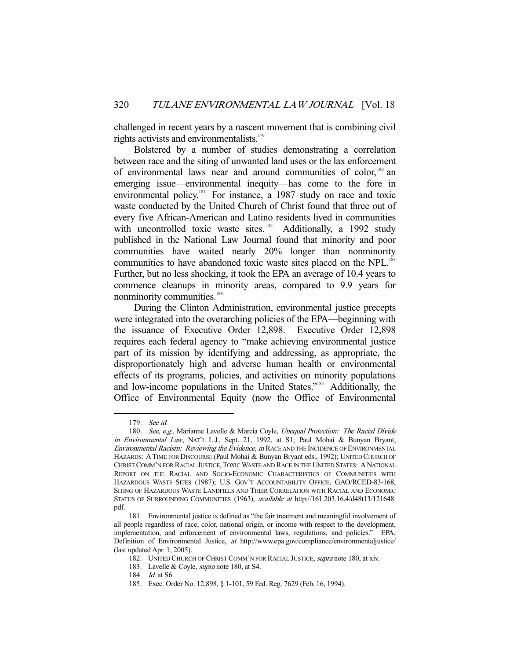challenged in recent years by a nascent movement that is combining civil rights activists and environmentalists.<sup>179</sup>

 Bolstered by a number of studies demonstrating a correlation between race and the siting of unwanted land uses or the lax enforcement of environmental laws near and around communities of color, $180$  an emerging issue—environmental inequity—has come to the fore in environmental policy.<sup>181</sup> For instance, a 1987 study on race and toxic waste conducted by the United Church of Christ found that three out of every five African-American and Latino residents lived in communities with uncontrolled toxic waste sites.<sup>182</sup> Additionally, a 1992 study published in the National Law Journal found that minority and poor communities have waited nearly 20% longer than nonminority communities to have abandoned toxic waste sites placed on the NPL.<sup>183</sup> Further, but no less shocking, it took the EPA an average of 10.4 years to commence cleanups in minority areas, compared to 9.9 years for nonminority communities.<sup>184</sup>

 During the Clinton Administration, environmental justice precepts were integrated into the overarching policies of the EPA—beginning with the issuance of Executive Order 12,898. Executive Order 12,898 requires each federal agency to "make achieving environmental justice part of its mission by identifying and addressing, as appropriate, the disproportionately high and adverse human health or environmental effects of its programs, policies, and activities on minority populations and low-income populations in the United States."185 Additionally, the Office of Environmental Equity (now the Office of Environmental

 <sup>179.</sup> See id.

<sup>180.</sup> See, e.g., Marianne Lavelle & Marcia Coyle, Unequal Protection: The Racial Divide in Environmental Law, NAT'L L.J., Sept. 21, 1992, at S1; Paul Mohai & Bunyan Bryant, Environmental Racism: Reviewing the Evidence, in RACE AND THE INCIDENCE OF ENVIRONMENTAL HAZARDS: ATIME FOR DISCOURSE (Paul Mohai & Bunyan Bryant eds., 1992); UNITED CHURCH OF CHRIST COMM'N FOR RACIAL JUSTICE,TOXIC WASTE AND RACE IN THE UNITED STATES: A NATIONAL REPORT ON THE RACIAL AND SOCIO-ECONOMIC CHARACTERISTICS OF COMMUNITIES WITH HAZARDOUS WASTE SITES (1987); U.S. GOV'T ACCOUNTABILITY OFFICE, GAO/RCED-83-168, SITING OF HAZARDOUS WASTE LANDFILLS AND THEIR CORRELATION WITH RACIAL AND ECONOMIC STATUS OF SURROUNDING COMMUNITIES (1963), available at http://161.203.16.4/d48t13/121648. pdf.

 <sup>181.</sup> Environmental justice is defined as "the fair treatment and meaningful involvement of all people regardless of race, color, national origin, or income with respect to the development, implementation, and enforcement of environmental laws, regulations, and policies." EPA, Definition of Environmental Justice, at http://www.epa.gov/compliance/environmentaljustice/ (last updated Apr. 1, 2005).

 <sup>182.</sup> UNITED CHURCH OF CHRIST COMM'N FOR RACIAL JUSTICE, supra note 180, at xiv.

 <sup>183.</sup> Lavelle & Coyle, supra note 180, at S4.

 <sup>184.</sup> Id. at S6.

 <sup>185.</sup> Exec. Order No. 12,898, § 1-101, 59 Fed. Reg. 7629 (Feb. 16, 1994).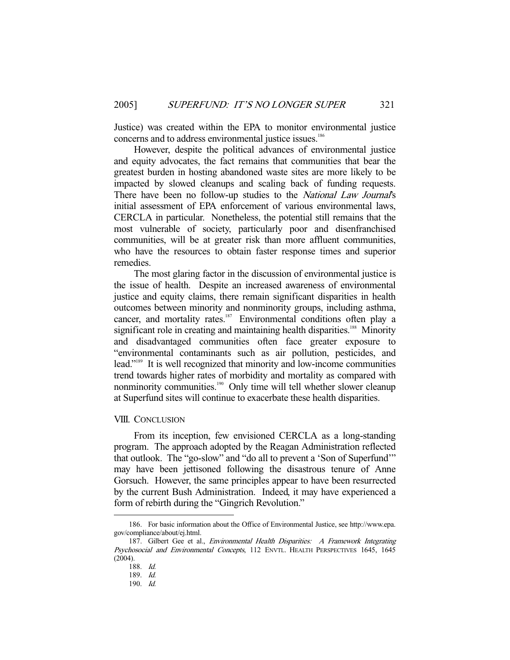Justice) was created within the EPA to monitor environmental justice concerns and to address environmental justice issues.<sup>186</sup>

 However, despite the political advances of environmental justice and equity advocates, the fact remains that communities that bear the greatest burden in hosting abandoned waste sites are more likely to be impacted by slowed cleanups and scaling back of funding requests. There have been no follow-up studies to the *National Law Journal's* initial assessment of EPA enforcement of various environmental laws, CERCLA in particular. Nonetheless, the potential still remains that the most vulnerable of society, particularly poor and disenfranchised communities, will be at greater risk than more affluent communities, who have the resources to obtain faster response times and superior remedies.

 The most glaring factor in the discussion of environmental justice is the issue of health. Despite an increased awareness of environmental justice and equity claims, there remain significant disparities in health outcomes between minority and nonminority groups, including asthma, cancer, and mortality rates.<sup>187</sup> Environmental conditions often play a significant role in creating and maintaining health disparities.<sup>188</sup> Minority and disadvantaged communities often face greater exposure to "environmental contaminants such as air pollution, pesticides, and lead."189 It is well recognized that minority and low-income communities trend towards higher rates of morbidity and mortality as compared with nonminority communities.<sup>190</sup> Only time will tell whether slower cleanup at Superfund sites will continue to exacerbate these health disparities.

#### VIII. CONCLUSION

 From its inception, few envisioned CERCLA as a long-standing program. The approach adopted by the Reagan Administration reflected that outlook. The "go-slow" and "do all to prevent a 'Son of Superfund'" may have been jettisoned following the disastrous tenure of Anne Gorsuch. However, the same principles appear to have been resurrected by the current Bush Administration. Indeed, it may have experienced a form of rebirth during the "Gingrich Revolution."

 <sup>186.</sup> For basic information about the Office of Environmental Justice, see http://www.epa. gov/compliance/about/ej.html.

<sup>187.</sup> Gilbert Gee et al., *Environmental Health Disparities: A Framework Integrating* Psychosocial and Environmental Concepts, 112 ENVTL. HEALTH PERSPECTIVES 1645, 1645 (2004).

 <sup>188.</sup> Id.

 <sup>189.</sup> Id.

 <sup>190.</sup> Id.